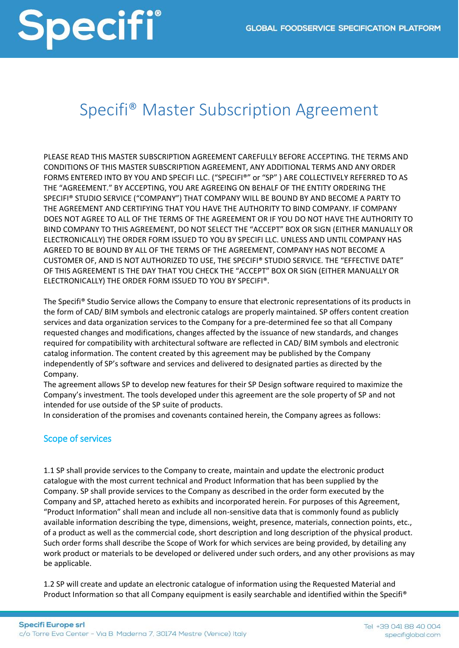### Specifi® Master Subscription Agreement

PLEASE READ THIS MASTER SUBSCRIPTION AGREEMENT CAREFULLY BEFORE ACCEPTING. THE TERMS AND CONDITIONS OF THIS MASTER SUBSCRIPTION AGREEMENT, ANY ADDITIONAL TERMS AND ANY ORDER FORMS ENTERED INTO BY YOU AND SPECIFI LLC. ("SPECIFI®" or "SP" ) ARE COLLECTIVELY REFERRED TO AS THE "AGREEMENT." BY ACCEPTING, YOU ARE AGREEING ON BEHALF OF THE ENTITY ORDERING THE SPECIFI® STUDIO SERVICE ("COMPANY") THAT COMPANY WILL BE BOUND BY AND BECOME A PARTY TO THE AGREEMENT AND CERTIFYING THAT YOU HAVE THE AUTHORITY TO BIND COMPANY. IF COMPANY DOES NOT AGREE TO ALL OF THE TERMS OF THE AGREEMENT OR IF YOU DO NOT HAVE THE AUTHORITY TO BIND COMPANY TO THIS AGREEMENT, DO NOT SELECT THE "ACCEPT" BOX OR SIGN (EITHER MANUALLY OR ELECTRONICALLY) THE ORDER FORM ISSUED TO YOU BY SPECIFI LLC. UNLESS AND UNTIL COMPANY HAS AGREED TO BE BOUND BY ALL OF THE TERMS OF THE AGREEMENT, COMPANY HAS NOT BECOME A CUSTOMER OF, AND IS NOT AUTHORIZED TO USE, THE SPECIFI® STUDIO SERVICE. THE "EFFECTIVE DATE" OF THIS AGREEMENT IS THE DAY THAT YOU CHECK THE "ACCEPT" BOX OR SIGN (EITHER MANUALLY OR ELECTRONICALLY) THE ORDER FORM ISSUED TO YOU BY SPECIFI®.

The Specifi® Studio Service allows the Company to ensure that electronic representations of its products in the form of CAD/ BIM symbols and electronic catalogs are properly maintained. SP offers content creation services and data organization services to the Company for a pre-determined fee so that all Company requested changes and modifications, changes affected by the issuance of new standards, and changes required for compatibility with architectural software are reflected in CAD/ BIM symbols and electronic catalog information. The content created by this agreement may be published by the Company independently of SP's software and services and delivered to designated parties as directed by the Company.

The agreement allows SP to develop new features for their SP Design software required to maximize the Company's investment. The tools developed under this agreement are the sole property of SP and not intended for use outside of the SP suite of products.

In consideration of the promises and covenants contained herein, the Company agrees as follows:

#### Scope of services

1.1 SP shall provide services to the Company to create, maintain and update the electronic product catalogue with the most current technical and Product Information that has been supplied by the Company. SP shall provide services to the Company as described in the order form executed by the Company and SP, attached hereto as exhibits and incorporated herein. For purposes of this Agreement, "Product Information" shall mean and include all non-sensitive data that is commonly found as publicly available information describing the type, dimensions, weight, presence, materials, connection points, etc., of a product as well as the commercial code, short description and long description of the physical product. Such order forms shall describe the Scope of Work for which services are being provided, by detailing any work product or materials to be developed or delivered under such orders, and any other provisions as may be applicable.

1.2 SP will create and update an electronic catalogue of information using the Requested Material and Product Information so that all Company equipment is easily searchable and identified within the Specifi®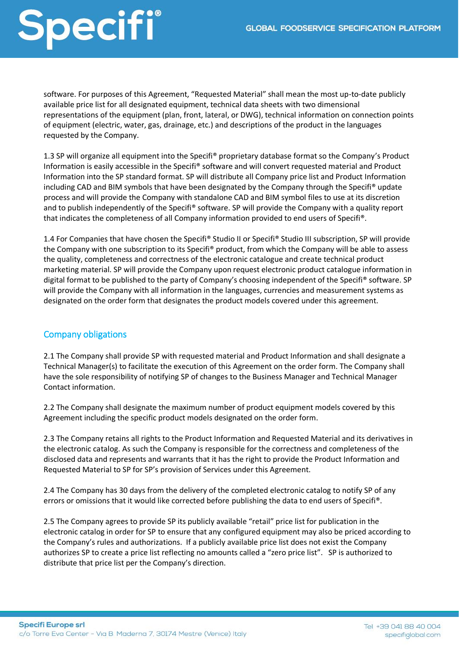software. For purposes of this Agreement, "Requested Material" shall mean the most up-to-date publicly available price list for all designated equipment, technical data sheets with two dimensional representations of the equipment (plan, front, lateral, or DWG), technical information on connection points of equipment (electric, water, gas, drainage, etc.) and descriptions of the product in the languages requested by the Company.

1.3 SP will organize all equipment into the Specifi® proprietary database format so the Company's Product Information is easily accessible in the Specifi® software and will convert requested material and Product Information into the SP standard format. SP will distribute all Company price list and Product Information including CAD and BIM symbols that have been designated by the Company through the Specifi® update process and will provide the Company with standalone CAD and BIM symbol files to use at its discretion and to publish independently of the Specifi® software. SP will provide the Company with a quality report that indicates the completeness of all Company information provided to end users of Specifi®.

1.4 For Companies that have chosen the Specifi® Studio II or Specifi® Studio III subscription, SP will provide the Company with one subscription to its Specifi® product, from which the Company will be able to assess the quality, completeness and correctness of the electronic catalogue and create technical product marketing material. SP will provide the Company upon request electronic product catalogue information in digital format to be published to the party of Company's choosing independent of the Specifi® software. SP will provide the Company with all information in the languages, currencies and measurement systems as designated on the order form that designates the product models covered under this agreement.

#### Company obligations

2.1 The Company shall provide SP with requested material and Product Information and shall designate a Technical Manager(s) to facilitate the execution of this Agreement on the order form. The Company shall have the sole responsibility of notifying SP of changes to the Business Manager and Technical Manager Contact information.

2.2 The Company shall designate the maximum number of product equipment models covered by this Agreement including the specific product models designated on the order form.

2.3 The Company retains all rights to the Product Information and Requested Material and its derivatives in the electronic catalog. As such the Company is responsible for the correctness and completeness of the disclosed data and represents and warrants that it has the right to provide the Product Information and Requested Material to SP for SP's provision of Services under this Agreement.

2.4 The Company has 30 days from the delivery of the completed electronic catalog to notify SP of any errors or omissions that it would like corrected before publishing the data to end users of Specifi®.

2.5 The Company agrees to provide SP its publicly available "retail" price list for publication in the electronic catalog in order for SP to ensure that any configured equipment may also be priced according to the Company's rules and authorizations. If a publicly available price list does not exist the Company authorizes SP to create a price list reflecting no amounts called a "zero price list". SP is authorized to distribute that price list per the Company's direction.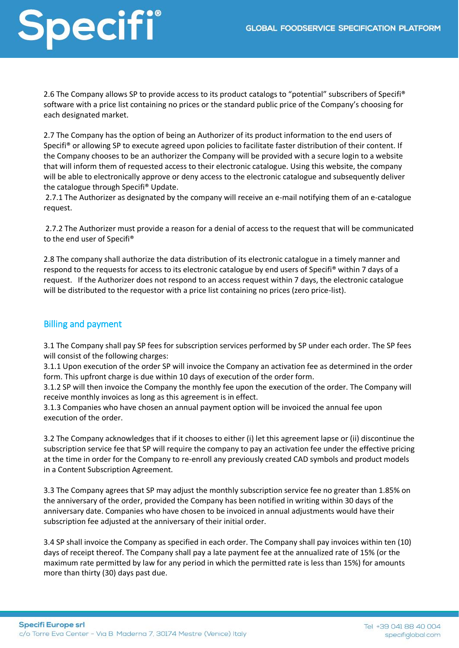2.6 The Company allows SP to provide access to its product catalogs to "potential" subscribers of Specifi® software with a price list containing no prices or the standard public price of the Company's choosing for each designated market.

2.7 The Company has the option of being an Authorizer of its product information to the end users of Specifi® or allowing SP to execute agreed upon policies to facilitate faster distribution of their content. If the Company chooses to be an authorizer the Company will be provided with a secure login to a website that will inform them of requested access to their electronic catalogue. Using this website, the company will be able to electronically approve or deny access to the electronic catalogue and subsequently deliver the catalogue through Specifi® Update.

2.7.1 The Authorizer as designated by the company will receive an e-mail notifying them of an e-catalogue request.

2.7.2 The Authorizer must provide a reason for a denial of access to the request that will be communicated to the end user of Specifi®

2.8 The company shall authorize the data distribution of its electronic catalogue in a timely manner and respond to the requests for access to its electronic catalogue by end users of Specifi® within 7 days of a request. If the Authorizer does not respond to an access request within 7 days, the electronic catalogue will be distributed to the requestor with a price list containing no prices (zero price-list).

#### Billing and payment

3.1 The Company shall pay SP fees for subscription services performed by SP under each order. The SP fees will consist of the following charges:

3.1.1 Upon execution of the order SP will invoice the Company an activation fee as determined in the order form. This upfront charge is due within 10 days of execution of the order form.

3.1.2 SP will then invoice the Company the monthly fee upon the execution of the order. The Company will receive monthly invoices as long as this agreement is in effect.

3.1.3 Companies who have chosen an annual payment option will be invoiced the annual fee upon execution of the order.

3.2 The Company acknowledges that if it chooses to either (i) let this agreement lapse or (ii) discontinue the subscription service fee that SP will require the company to pay an activation fee under the effective pricing at the time in order for the Company to re-enroll any previously created CAD symbols and product models in a Content Subscription Agreement.

3.3 The Company agrees that SP may adjust the monthly subscription service fee no greater than 1.85% on the anniversary of the order, provided the Company has been notified in writing within 30 days of the anniversary date. Companies who have chosen to be invoiced in annual adjustments would have their subscription fee adjusted at the anniversary of their initial order.

3.4 SP shall invoice the Company as specified in each order. The Company shall pay invoices within ten (10) days of receipt thereof. The Company shall pay a late payment fee at the annualized rate of 15% (or the maximum rate permitted by law for any period in which the permitted rate is less than 15%) for amounts more than thirty (30) days past due.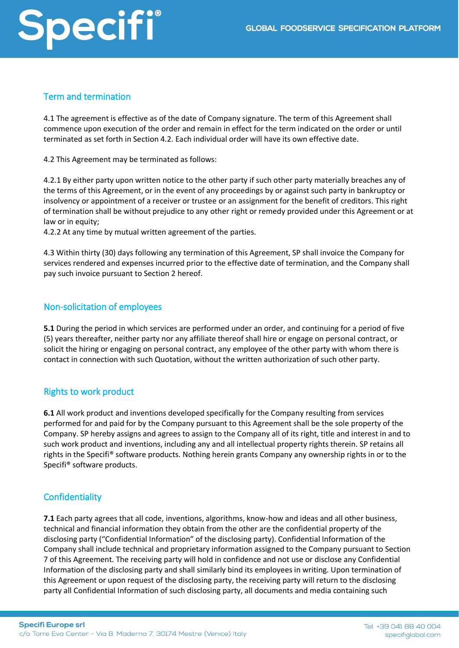#### Term and termination

4.1 The agreement is effective as of the date of Company signature. The term of this Agreement shall commence upon execution of the order and remain in effect for the term indicated on the order or until terminated as set forth in Section 4.2. Each individual order will have its own effective date.

4.2 This Agreement may be terminated as follows:

4.2.1 By either party upon written notice to the other party if such other party materially breaches any of the terms of this Agreement, or in the event of any proceedings by or against such party in bankruptcy or insolvency or appointment of a receiver or trustee or an assignment for the benefit of creditors. This right of termination shall be without prejudice to any other right or remedy provided under this Agreement or at law or in equity;

4.2.2 At any time by mutual written agreement of the parties.

4.3 Within thirty (30) days following any termination of this Agreement, SP shall invoice the Company for services rendered and expenses incurred prior to the effective date of termination, and the Company shall pay such invoice pursuant to Section 2 hereof.

#### Non-solicitation of employees

**5.1** During the period in which services are performed under an order, and continuing for a period of five (5) years thereafter, neither party nor any affiliate thereof shall hire or engage on personal contract, or solicit the hiring or engaging on personal contract, any employee of the other party with whom there is contact in connection with such Quotation, without the written authorization of such other party.

#### Rights to work product

**6.1** All work product and inventions developed specifically for the Company resulting from services performed for and paid for by the Company pursuant to this Agreement shall be the sole property of the Company. SP hereby assigns and agrees to assign to the Company all of its right, title and interest in and to such work product and inventions, including any and all intellectual property rights therein. SP retains all rights in the Specifi® software products. Nothing herein grants Company any ownership rights in or to the Specifi® software products.

#### **Confidentiality**

**7.1** Each party agrees that all code, inventions, algorithms, know-how and ideas and all other business, technical and financial information they obtain from the other are the confidential property of the disclosing party ("Confidential Information" of the disclosing party). Confidential Information of the Company shall include technical and proprietary information assigned to the Company pursuant to Section 7 of this Agreement. The receiving party will hold in confidence and not use or disclose any Confidential Information of the disclosing party and shall similarly bind its employees in writing. Upon termination of this Agreement or upon request of the disclosing party, the receiving party will return to the disclosing party all Confidential Information of such disclosing party, all documents and media containing such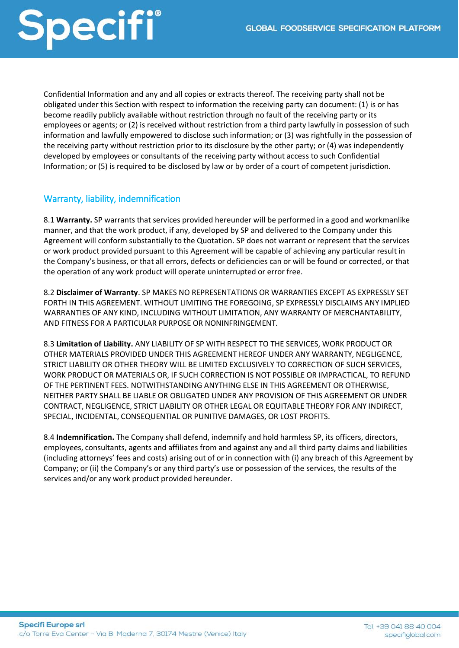Confidential Information and any and all copies or extracts thereof. The receiving party shall not be obligated under this Section with respect to information the receiving party can document: (1) is or has become readily publicly available without restriction through no fault of the receiving party or its employees or agents; or (2) is received without restriction from a third party lawfully in possession of such information and lawfully empowered to disclose such information; or (3) was rightfully in the possession of the receiving party without restriction prior to its disclosure by the other party; or (4) was independently developed by employees or consultants of the receiving party without access to such Confidential Information; or (5) is required to be disclosed by law or by order of a court of competent jurisdiction.

#### Warranty, liability, indemnification

8.1 **Warranty.** SP warrants that services provided hereunder will be performed in a good and workmanlike manner, and that the work product, if any, developed by SP and delivered to the Company under this Agreement will conform substantially to the Quotation. SP does not warrant or represent that the services or work product provided pursuant to this Agreement will be capable of achieving any particular result in the Company's business, or that all errors, defects or deficiencies can or will be found or corrected, or that the operation of any work product will operate uninterrupted or error free.

8.2 **Disclaimer of Warranty**. SP MAKES NO REPRESENTATIONS OR WARRANTIES EXCEPT AS EXPRESSLY SET FORTH IN THIS AGREEMENT. WITHOUT LIMITING THE FOREGOING, SP EXPRESSLY DISCLAIMS ANY IMPLIED WARRANTIES OF ANY KIND, INCLUDING WITHOUT LIMITATION, ANY WARRANTY OF MERCHANTABILITY, AND FITNESS FOR A PARTICULAR PURPOSE OR NONINFRINGEMENT.

8.3 **Limitation of Liability.** ANY LIABILITY OF SP WITH RESPECT TO THE SERVICES, WORK PRODUCT OR OTHER MATERIALS PROVIDED UNDER THIS AGREEMENT HEREOF UNDER ANY WARRANTY, NEGLIGENCE, STRICT LIABILITY OR OTHER THEORY WILL BE LIMITED EXCLUSIVELY TO CORRECTION OF SUCH SERVICES, WORK PRODUCT OR MATERIALS OR, IF SUCH CORRECTION IS NOT POSSIBLE OR IMPRACTICAL, TO REFUND OF THE PERTINENT FEES. NOTWITHSTANDING ANYTHING ELSE IN THIS AGREEMENT OR OTHERWISE, NEITHER PARTY SHALL BE LIABLE OR OBLIGATED UNDER ANY PROVISION OF THIS AGREEMENT OR UNDER CONTRACT, NEGLIGENCE, STRICT LIABILITY OR OTHER LEGAL OR EQUITABLE THEORY FOR ANY INDIRECT, SPECIAL, INCIDENTAL, CONSEQUENTIAL OR PUNITIVE DAMAGES, OR LOST PROFITS.

8.4 **Indemnification.** The Company shall defend, indemnify and hold harmless SP, its officers, directors, employees, consultants, agents and affiliates from and against any and all third party claims and liabilities (including attorneys' fees and costs) arising out of or in connection with (i) any breach of this Agreement by Company; or (ii) the Company's or any third party's use or possession of the services, the results of the services and/or any work product provided hereunder.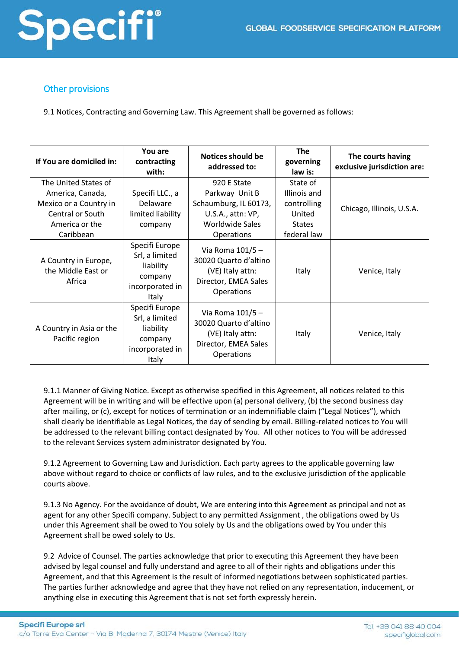

#### Other provisions

9.1 Notices, Contracting and Governing Law. This Agreement shall be governed as follows:

| If You are domiciled in:                                                                                              | You are<br>contracting<br>with:                                                      | <b>Notices should be</b><br>addressed to:                                                                           | <b>The</b><br>governing<br>law is:                                                | The courts having<br>exclusive jurisdiction are: |
|-----------------------------------------------------------------------------------------------------------------------|--------------------------------------------------------------------------------------|---------------------------------------------------------------------------------------------------------------------|-----------------------------------------------------------------------------------|--------------------------------------------------|
| The United States of<br>America, Canada,<br>Mexico or a Country in<br>Central or South<br>America or the<br>Caribbean | Specifi LLC., a<br><b>Delaware</b><br>limited liability<br>company                   | 920 E State<br>Parkway Unit B<br>Schaumburg, IL 60173,<br>U.S.A., attn: VP,<br><b>Worldwide Sales</b><br>Operations | State of<br>Illinois and<br>controlling<br>United<br><b>States</b><br>federal law | Chicago, Illinois, U.S.A.                        |
| A Country in Europe,<br>the Middle East or<br>Africa                                                                  | Specifi Europe<br>Srl, a limited<br>liability<br>company<br>incorporated in<br>Italy | Via Roma 101/5-<br>30020 Quarto d'altino<br>(VE) Italy attn:<br>Director, EMEA Sales<br><b>Operations</b>           | Italy                                                                             | Venice, Italy                                    |
| A Country in Asia or the<br>Pacific region                                                                            | Specifi Europe<br>Srl, a limited<br>liability<br>company<br>incorporated in<br>Italy | Via Roma 101/5-<br>30020 Quarto d'altino<br>(VE) Italy attn:<br>Director, EMEA Sales<br>Operations                  | Italy                                                                             | Venice, Italy                                    |

9.1.1 Manner of Giving Notice. Except as otherwise specified in this Agreement, all notices related to this Agreement will be in writing and will be effective upon (a) personal delivery, (b) the second business day after mailing, or (c), except for notices of termination or an indemnifiable claim ("Legal Notices"), which shall clearly be identifiable as Legal Notices, the day of sending by email. Billing-related notices to You will be addressed to the relevant billing contact designated by You. All other notices to You will be addressed to the relevant Services system administrator designated by You.

9.1.2 Agreement to Governing Law and Jurisdiction. Each party agrees to the applicable governing law above without regard to choice or conflicts of law rules, and to the exclusive jurisdiction of the applicable courts above.

9.1.3 No Agency. For the avoidance of doubt, We are entering into this Agreement as principal and not as agent for any other Specifi company. Subject to any permitted Assignment , the obligations owed by Us under this Agreement shall be owed to You solely by Us and the obligations owed by You under this Agreement shall be owed solely to Us.

9.2 Advice of Counsel. The parties acknowledge that prior to executing this Agreement they have been advised by legal counsel and fully understand and agree to all of their rights and obligations under this Agreement, and that this Agreement is the result of informed negotiations between sophisticated parties. The parties further acknowledge and agree that they have not relied on any representation, inducement, or anything else in executing this Agreement that is not set forth expressly herein.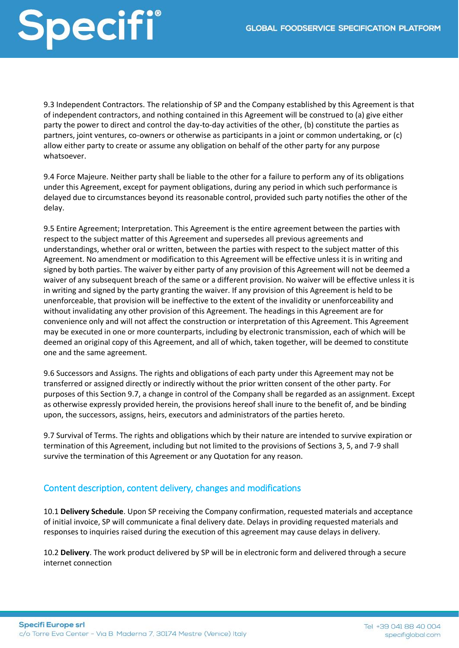9.3 Independent Contractors. The relationship of SP and the Company established by this Agreement is that of independent contractors, and nothing contained in this Agreement will be construed to (a) give either party the power to direct and control the day-to-day activities of the other, (b) constitute the parties as partners, joint ventures, co-owners or otherwise as participants in a joint or common undertaking, or (c) allow either party to create or assume any obligation on behalf of the other party for any purpose whatsoever.

9.4 Force Majeure. Neither party shall be liable to the other for a failure to perform any of its obligations under this Agreement, except for payment obligations, during any period in which such performance is delayed due to circumstances beyond its reasonable control, provided such party notifies the other of the delay.

9.5 Entire Agreement; Interpretation. This Agreement is the entire agreement between the parties with respect to the subject matter of this Agreement and supersedes all previous agreements and understandings, whether oral or written, between the parties with respect to the subject matter of this Agreement. No amendment or modification to this Agreement will be effective unless it is in writing and signed by both parties. The waiver by either party of any provision of this Agreement will not be deemed a waiver of any subsequent breach of the same or a different provision. No waiver will be effective unless it is in writing and signed by the party granting the waiver. If any provision of this Agreement is held to be unenforceable, that provision will be ineffective to the extent of the invalidity or unenforceability and without invalidating any other provision of this Agreement. The headings in this Agreement are for convenience only and will not affect the construction or interpretation of this Agreement. This Agreement may be executed in one or more counterparts, including by electronic transmission, each of which will be deemed an original copy of this Agreement, and all of which, taken together, will be deemed to constitute one and the same agreement.

9.6 Successors and Assigns. The rights and obligations of each party under this Agreement may not be transferred or assigned directly or indirectly without the prior written consent of the other party. For purposes of this Section 9.7, a change in control of the Company shall be regarded as an assignment. Except as otherwise expressly provided herein, the provisions hereof shall inure to the benefit of, and be binding upon, the successors, assigns, heirs, executors and administrators of the parties hereto.

9.7 Survival of Terms. The rights and obligations which by their nature are intended to survive expiration or termination of this Agreement, including but not limited to the provisions of Sections 3, 5, and 7-9 shall survive the termination of this Agreement or any Quotation for any reason.

#### Content description, content delivery, changes and modifications

10.1 **Delivery Schedule**. Upon SP receiving the Company confirmation, requested materials and acceptance of initial invoice, SP will communicate a final delivery date. Delays in providing requested materials and responses to inquiries raised during the execution of this agreement may cause delays in delivery.

10.2 **Delivery**. The work product delivered by SP will be in electronic form and delivered through a secure internet connection